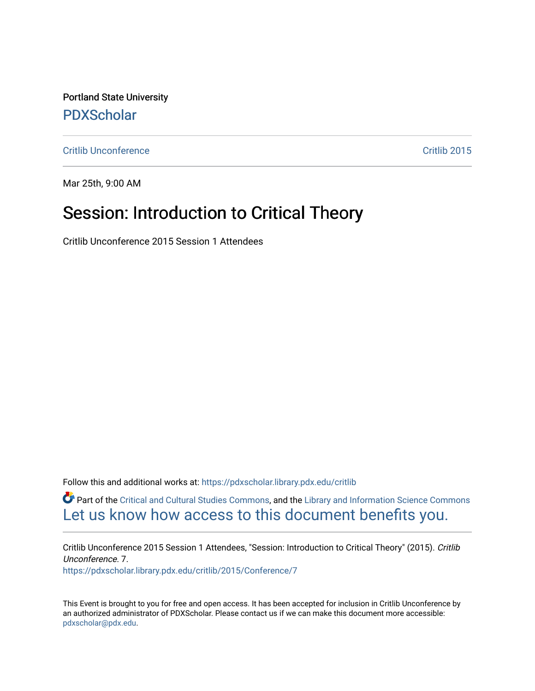Portland State University [PDXScholar](https://pdxscholar.library.pdx.edu/)

**[Critlib Unconference](https://pdxscholar.library.pdx.edu/critlib)** Critlib 2015

Mar 25th, 9:00 AM

## Session: Introduction to Critical Theory

Critlib Unconference 2015 Session 1 Attendees

Follow this and additional works at: [https://pdxscholar.library.pdx.edu/critlib](https://pdxscholar.library.pdx.edu/critlib?utm_source=pdxscholar.library.pdx.edu%2Fcritlib%2F2015%2FConference%2F7&utm_medium=PDF&utm_campaign=PDFCoverPages) 

Part of the [Critical and Cultural Studies Commons](http://network.bepress.com/hgg/discipline/328?utm_source=pdxscholar.library.pdx.edu%2Fcritlib%2F2015%2FConference%2F7&utm_medium=PDF&utm_campaign=PDFCoverPages), and the [Library and Information Science Commons](http://network.bepress.com/hgg/discipline/1018?utm_source=pdxscholar.library.pdx.edu%2Fcritlib%2F2015%2FConference%2F7&utm_medium=PDF&utm_campaign=PDFCoverPages) [Let us know how access to this document benefits you.](http://library.pdx.edu/services/pdxscholar-services/pdxscholar-feedback/) 

Critlib Unconference 2015 Session 1 Attendees, "Session: Introduction to Critical Theory" (2015). Critlib Unconference. 7. [https://pdxscholar.library.pdx.edu/critlib/2015/Conference/7](https://pdxscholar.library.pdx.edu/critlib/2015/Conference/7?utm_source=pdxscholar.library.pdx.edu%2Fcritlib%2F2015%2FConference%2F7&utm_medium=PDF&utm_campaign=PDFCoverPages) 

This Event is brought to you for free and open access. It has been accepted for inclusion in Critlib Unconference by an authorized administrator of PDXScholar. Please contact us if we can make this document more accessible: [pdxscholar@pdx.edu.](mailto:pdxscholar@pdx.edu)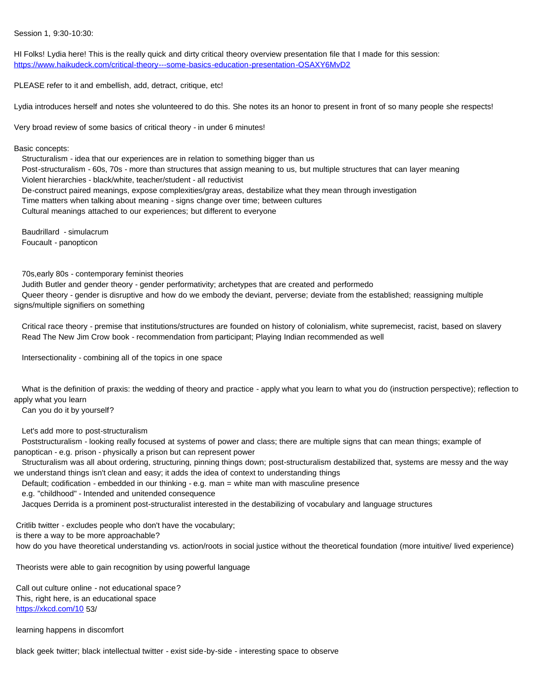## Session 1, 9:30-10:30:

HI Folks! Lydia here! This is the really quick and dirty critical theory overview presentation file that I made for this session: <https://www.haikudeck.com/critical-theory---some-basics-education-presentation-OSAXY6MvD2>

PLEASE refer to it and embellish, add, detract, critique, etc!

Lydia introduces herself and notes she volunteered to do this. She notes its an honor to present in front of so many people she respects!

Very broad review of some basics of critical theory - in under 6 minutes!

Basic concepts:

 Structuralism - idea that our experiences are in relation to something bigger than us Post-structuralism - 60s, 70s - more than structures that assign meaning to us, but multiple structures that can layer meaning Violent hierarchies - black/white, teacher/student - all reductivist De-construct paired meanings, expose complexities/gray areas, destabilize what they mean through investigation Time matters when talking about meaning - signs change over time; between cultures Cultural meanings attached to our experiences; but different to everyone

 Baudrillard - simulacrum Foucault - panopticon

70s,early 80s - contemporary feminist theories

 Judith Butler and gender theory - gender performativity; archetypes that are created and performedo Queer theory - gender is disruptive and how do we embody the deviant, perverse; deviate from the established; reassigning multiple signs/multiple signifiers on something

 Critical race theory - premise that institutions/structures are founded on history of colonialism, white supremecist, racist, based on slavery Read The New Jim Crow book - recommendation from participant; Playing Indian recommended as well

Intersectionality - combining all of the topics in one space

What is the definition of praxis: the wedding of theory and practice - apply what you learn to what you do (instruction perspective); reflection to apply what you learn

Can you do it by yourself?

Let's add more to post-structuralism

 Poststructuralism - looking really focused at systems of power and class; there are multiple signs that can mean things; example of panoptican - e.g. prison - physically a prison but can represent power

 Structuralism was all about ordering, structuring, pinning things down; post-structuralism destabilized that, systems are messy and the way we understand things isn't clean and easy; it adds the idea of context to understanding things

Default; codification - embedded in our thinking - e.g. man = white man with masculine presence

e.g. "childhood" - Intended and unitended consequence

Jacques Derrida is a prominent post-structuralist interested in the destabilizing of vocabulary and language structures

Critlib twitter - excludes people who don't have the vocabulary;

is there a way to be more approachable?

how do you have theoretical understanding vs. action/roots in social justice without the theoretical foundation (more intuitive/ lived experience)

Theorists were able to gain recognition by using powerful language

Call out culture online - not educational space? This, right here, is an educational space <https://xkcd.com/10> 53/

learning happens in discomfort

black geek twitter; black intellectual twitter - exist side-by-side - interesting space to observe